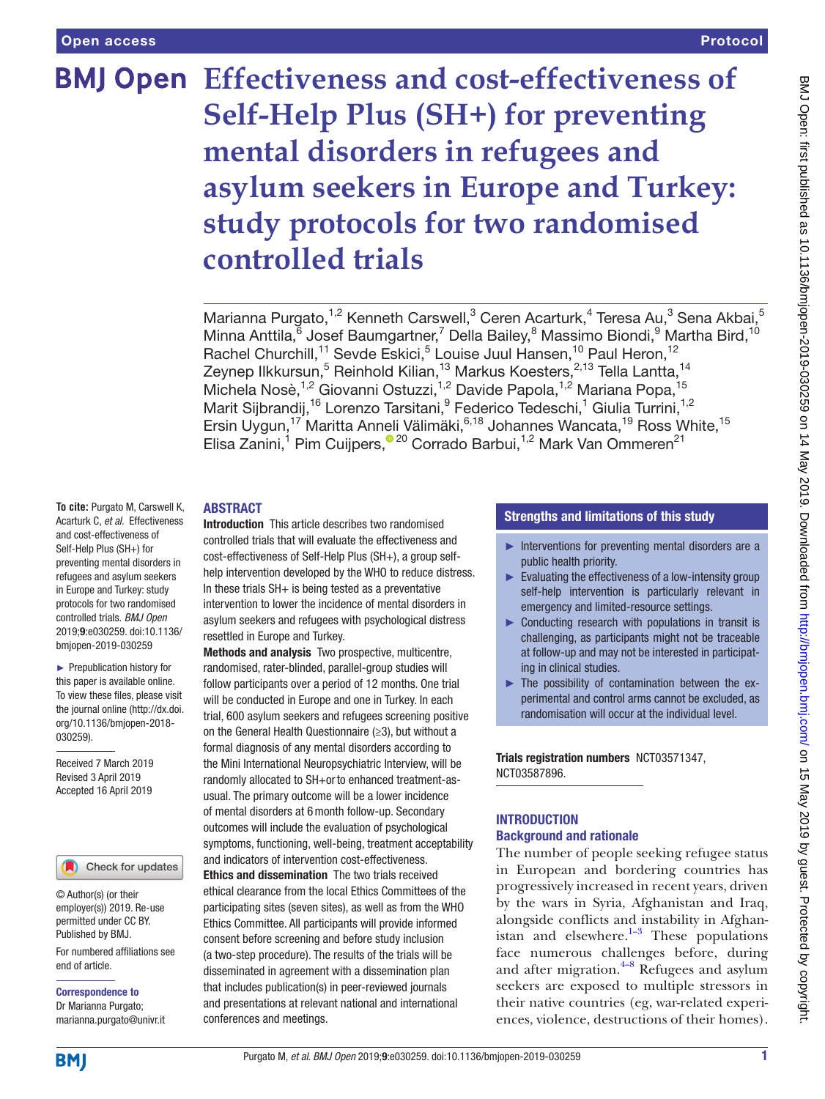# **Effectiveness and cost-effectiveness of Self-Help Plus (SH+) for preventing mental disorders in refugees and asylum seekers in Europe and Turkey: study protocols for two randomised controlled trials**

Marianna Purgato,<sup>1,2</sup> Kenneth Carswell,<sup>3</sup> Ceren Acarturk,<sup>4</sup> Teresa Au,<sup>3</sup> Sena Akbai,<sup>5</sup> Minna Anttila, <sup>6</sup> Josef Baumgartner, <sup>7</sup> Della Bailey, <sup>8</sup> Massimo Biondi, <sup>9</sup> Martha Bird, <sup>10</sup> Rachel Churchill,<sup>11</sup> Sevde Eskici,<sup>5</sup> Louise Juul Hansen,<sup>10</sup> Paul Heron,<sup>12</sup> Zeynep Ilkkursun,<sup>5</sup> Reinhold Kilian,<sup>13</sup> Markus Koesters,<sup>2,13</sup> Tella Lantta,<sup>14</sup> Michela Nosè,<sup>1,2</sup> Giovanni Ostuzzi,<sup>1,2</sup> Davide Papola,<sup>1,2</sup> Mariana Popa,<sup>15</sup> Marit Sijbrandij,<sup>16</sup> Lorenzo Tarsitani, <sup>9</sup> Federico Tedeschi, <sup>1</sup> Giulia Turrini, <sup>1,2</sup> Ersin Uygun,<sup>17</sup> Maritta Anneli Välimäki,<sup>6,18</sup> Johannes Wancata,<sup>19</sup> Ross White,<sup>15</sup> Elisa Zanini,<sup>1</sup> Pim Cuijpers,<sup>® 20</sup> Corrado Barbui,<sup>1,2</sup> Mark Van Ommeren<sup>21</sup>

#### **ABSTRACT**

**To cite:** Purgato M, Carswell K, Acarturk C, *et al*. Effectiveness and cost-effectiveness of Self-Help Plus (SH+) for preventing mental disorders in refugees and asylum seekers in Europe and Turkey: study protocols for two randomised controlled trials. *BMJ Open* 2019;9:e030259. doi:10.1136/ bmjopen-2019-030259

► Prepublication history for this paper is available online. To view these files, please visit the journal online [\(http://dx.doi.](http://dx.doi.org/10.1136/bmjopen-2018-030259) [org/10.1136/bmjopen-2018-](http://dx.doi.org/10.1136/bmjopen-2018-030259) [030259\)](http://dx.doi.org/10.1136/bmjopen-2018-030259).

Received 7 March 2019 Revised 3 April 2019 Accepted 16 April 2019

#### Check for updates

© Author(s) (or their employer(s)) 2019. Re-use permitted under CC BY. Published by BMJ.

For numbered affiliations see end of article.

Correspondence to Dr Marianna Purgato; marianna.purgato@univr.it Introduction This article describes two randomised controlled trials that will evaluate the effectiveness and cost-effectiveness of Self-Help Plus (SH+), a group selfhelp intervention developed by the WHO to reduce distress. In these trials  $SH+$  is being tested as a preventative intervention to lower the incidence of mental disorders in asylum seekers and refugees with psychological distress resettled in Europe and Turkey.

Methods and analysis Two prospective, multicentre, randomised, rater-blinded, parallel-group studies will follow participants over a period of 12 months. One trial will be conducted in Europe and one in Turkey. In each trial, 600 asylum seekers and refugees screening positive on the General Health Questionnaire (≥3), but without a formal diagnosis of any mental disorders according to the Mini International Neuropsychiatric Interview, will be randomly allocated to SH+orto enhanced treatment-asusual. The primary outcome will be a lower incidence of mental disorders at 6month follow-up. Secondary outcomes will include the evaluation of psychological symptoms, functioning, well-being, treatment acceptability and indicators of intervention cost-effectiveness.

Ethics and dissemination The two trials received ethical clearance from the local Ethics Committees of the participating sites (seven sites), as well as from the WHO Ethics Committee. All participants will provide informed consent before screening and before study inclusion (a two-step procedure). The results of the trials will be disseminated in agreement with a dissemination plan that includes publication(s) in peer-reviewed journals and presentations at relevant national and international conferences and meetings.

#### Strengths and limitations of this study

- ► Interventions for preventing mental disorders are a public health priority.
- ► Evaluating the effectiveness of a low-intensity group self-help intervention is particularly relevant in emergency and limited-resource settings.
- ► Conducting research with populations in transit is challenging, as participants might not be traceable at follow-up and may not be interested in participating in clinical studies.
- ► The possibility of contamination between the experimental and control arms cannot be excluded, as randomisation will occur at the individual level.

Trials registration numbers [NCT03571347,](NCT03571347) [NCT03587896.](NCT03587896)

#### **INTRODUCTION** Background and rationale

The number of people seeking refugee status in European and bordering countries has progressively increased in recent years, driven by the wars in Syria, Afghanistan and Iraq, alongside conflicts and instability in Afghanistan and elsewhere. $1-3$  These populations face numerous challenges before, during and after migration. $4-8$  Refugees and asylum seekers are exposed to multiple stressors in their native countries (eg, war-related experiences, violence, destructions of their homes).

**BMI**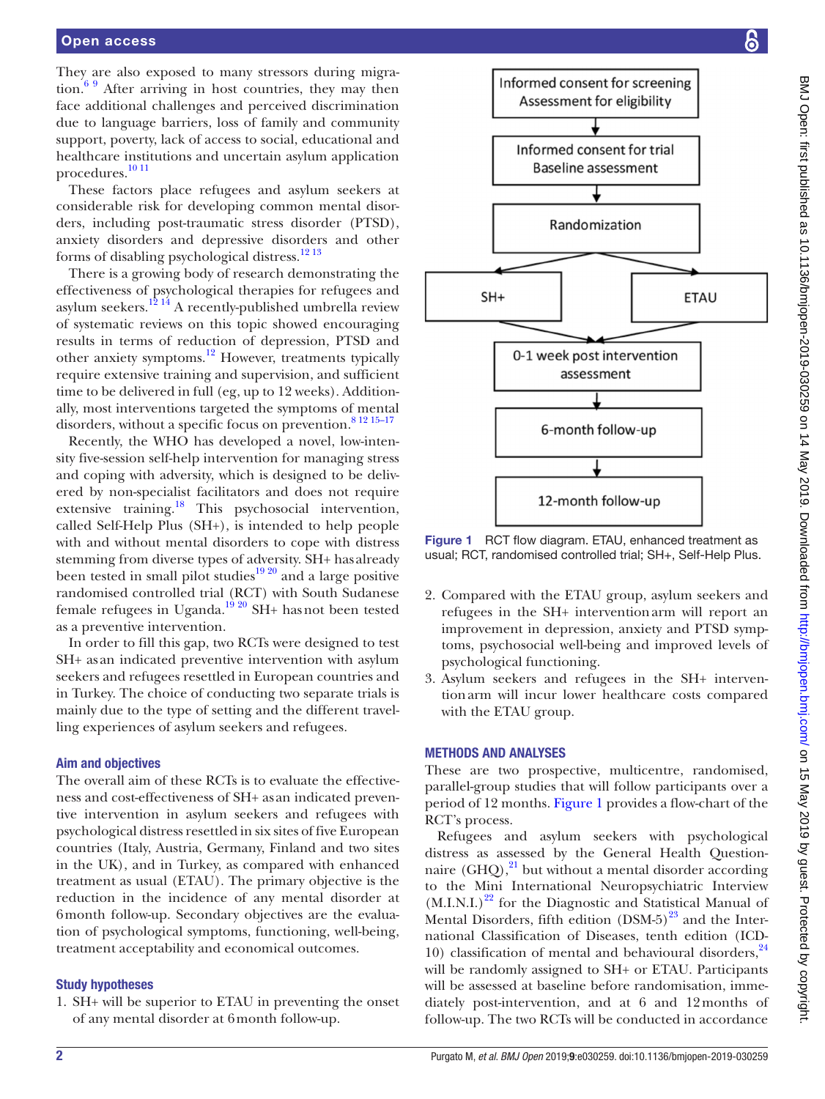They are also exposed to many stressors during migration. $69$  After arriving in host countries, they may then face additional challenges and perceived discrimination due to language barriers, loss of family and community support, poverty, lack of access to social, educational and healthcare institutions and uncertain asylum application procedures[.10 11](#page-7-3)

These factors place refugees and asylum seekers at considerable risk for developing common mental disorders, including post-traumatic stress disorder (PTSD), anxiety disorders and depressive disorders and other forms of disabling psychological distress.[12 13](#page-7-4)

There is a growing body of research demonstrating the effectiveness of psychological therapies for refugees and asylum seekers.<sup>12 14</sup> A recently-published umbrella review of systematic reviews on this topic showed encouraging results in terms of reduction of depression, PTSD and other anxiety symptoms.[12](#page-7-4) However, treatments typically require extensive training and supervision, and sufficient time to be delivered in full (eg, up to 12 weeks). Additionally, most interventions targeted the symptoms of mental disorders, without a specific focus on prevention.<sup>[8 12 15–17](#page-7-5)</sup>

Recently, the WHO has developed a novel, low-intensity five-session self-help intervention for managing stress and coping with adversity, which is designed to be delivered by non-specialist facilitators and does not require extensive training.<sup>18</sup> This psychosocial intervention, called Self-Help Plus (SH+), is intended to help people with and without mental disorders to cope with distress stemming from diverse types of adversity. SH+ has already been tested in small pilot studies $19\frac{20}{1}$  and a large positive randomised controlled trial (RCT) with South Sudanese female refugees in Uganda.<sup>19 20</sup> SH+ has not been tested as a preventive intervention.

In order to fill this gap, two RCTs were designed to test SH+ as an indicated preventive intervention with asylum seekers and refugees resettled in European countries and in Turkey. The choice of conducting two separate trials is mainly due to the type of setting and the different travelling experiences of asylum seekers and refugees.

#### Aim and objectives

The overall aim of these RCTs is to evaluate the effectiveness and cost-effectiveness of SH+ as an indicated preventive intervention in asylum seekers and refugees with psychological distress resettled in six sites of five European countries (Italy, Austria, Germany, Finland and two sites in the UK), and in Turkey, as compared with enhanced treatment as usual (ETAU). The primary objective is the reduction in the incidence of any mental disorder at 6month follow-up. Secondary objectives are the evaluation of psychological symptoms, functioning, well-being, treatment acceptability and economical outcomes.

#### Study hypotheses

1. SH+ will be superior to ETAU in preventing the onset of any mental disorder at 6month follow-up.



<span id="page-1-0"></span>Figure 1 RCT flow diagram. ETAU, enhanced treatment as usual; RCT, randomised controlled trial; SH+, Self-Help Plus.

- 2. Compared with the ETAU group, asylum seekers and refugees in the SH+ interventionarm will report an improvement in depression, anxiety and PTSD symptoms, psychosocial well-being and improved levels of psychological functioning.
- 3. Asylum seekers and refugees in the SH+ interventionarm will incur lower healthcare costs compared with the ETAU group.

#### Methods and analyses

These are two prospective, multicentre, randomised, parallel-group studies that will follow participants over a period of 12 months. [Figure](#page-1-0) 1 provides a flow-chart of the RCT's process.

Refugees and asylum seekers with psychological distress as assessed by the General Health Questionnaire  $(GHQ)$ ,<sup>21</sup> but without a mental disorder according to the Mini International Neuropsychiatric Interview  $(M.I.N.I.)<sup>22</sup>$  for the Diagnostic and Statistical Manual of Mental Disorders, fifth edition  $(DSM-5)^{23}$  and the International Classification of Diseases, tenth edition (ICD-10) classification of mental and behavioural disorders, $^{24}$  $^{24}$  $^{24}$ will be randomly assigned to SH+ or ETAU. Participants will be assessed at baseline before randomisation, immediately post-intervention, and at 6 and 12months of follow-up. The two RCTs will be conducted in accordance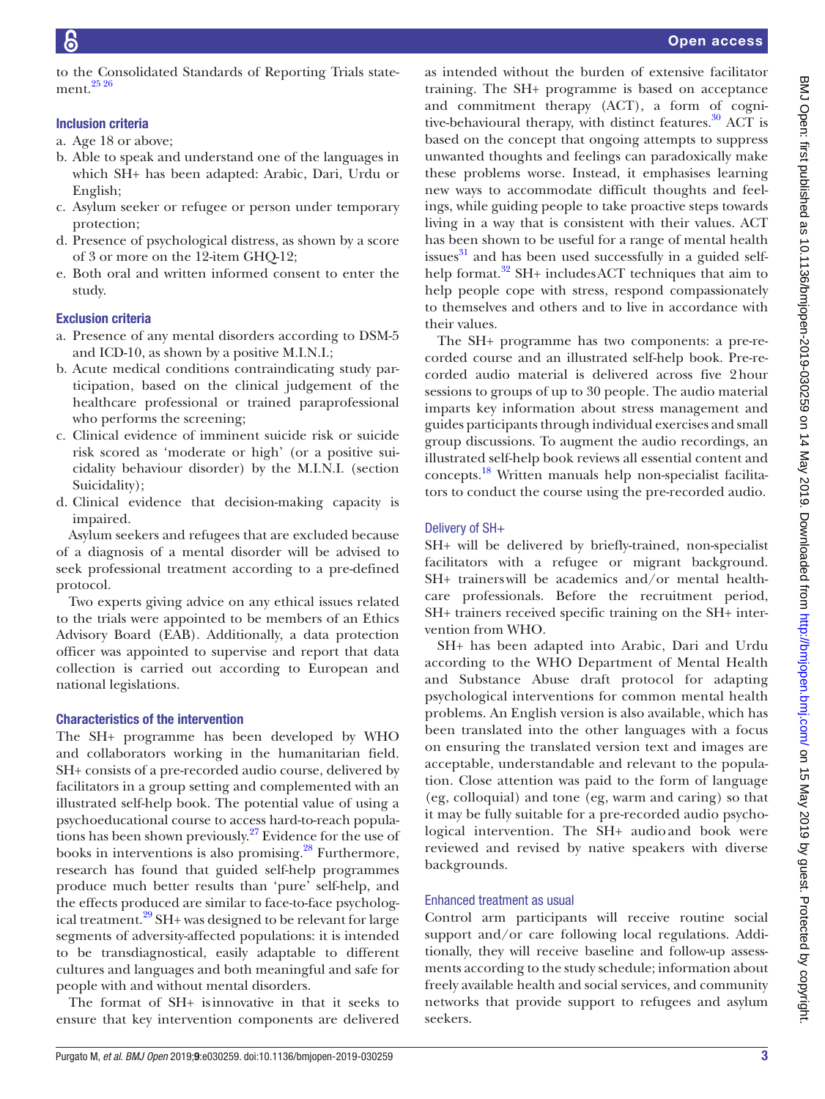to the Consolidated Standards of Reporting Trials statement.[25 26](#page-7-12)

## Inclusion criteria

- a. Age 18 or above;
- b. Able to speak and understand one of the languages in which SH+ has been adapted: Arabic, Dari, Urdu or English;
- c. Asylum seeker or refugee or person under temporary protection;
- d. Presence of psychological distress, as shown by a score of 3 or more on the 12-item GHQ-12;
- e. Both oral and written informed consent to enter the study.

# Exclusion criteria

- a. Presence of any mental disorders according to DSM-5 and ICD-10, as shown by a positive M.I.N.I.;
- b. Acute medical conditions contraindicating study participation, based on the clinical judgement of the healthcare professional or trained paraprofessional who performs the screening;
- c. Clinical evidence of imminent suicide risk or suicide risk scored as 'moderate or high' (or a positive suicidality behaviour disorder) by the M.I.N.I. (section Suicidality);
- d. Clinical evidence that decision-making capacity is impaired.

Asylum seekers and refugees that are excluded because of a diagnosis of a mental disorder will be advised to seek professional treatment according to a pre-defined protocol.

Two experts giving advice on any ethical issues related to the trials were appointed to be members of an Ethics Advisory Board (EAB). Additionally, a data protection officer was appointed to supervise and report that data collection is carried out according to European and national legislations.

#### Characteristics of the intervention

The SH+ programme has been developed by WHO and collaborators working in the humanitarian field. SH+ consists of a pre-recorded audio course, delivered by facilitators in a group setting and complemented with an illustrated self-help book. The potential value of using a psychoeducational course to access hard-to-reach populations has been shown previously[.27](#page-7-13) Evidence for the use of books in interventions is also promising. $^{28}$  Furthermore, research has found that guided self-help programmes produce much better results than 'pure' self-help, and the effects produced are similar to face-to-face psychological treatment.<sup>29</sup> SH+ was designed to be relevant for large segments of adversity-affected populations: it is intended to be transdiagnostical, easily adaptable to different cultures and languages and both meaningful and safe for people with and without mental disorders.

The format of SH+ isinnovative in that it seeks to ensure that key intervention components are delivered

as intended without the burden of extensive facilitator training. The SH+ programme is based on acceptance and commitment therapy (ACT), a form of cognitive-behavioural therapy, with distinct features.<sup>30</sup> ACT is based on the concept that ongoing attempts to suppress unwanted thoughts and feelings can paradoxically make these problems worse. Instead, it emphasises learning new ways to accommodate difficult thoughts and feelings, while guiding people to take proactive steps towards living in a way that is consistent with their values. ACT has been shown to be useful for a range of mental health issues $^{31}$  $^{31}$  $^{31}$  and has been used successfully in a guided selfhelp format.<sup>32</sup> SH+ includesACT techniques that aim to help people cope with stress, respond compassionately to themselves and others and to live in accordance with their values.

The SH+ programme has two components: a pre-recorded course and an illustrated self-help book. Pre-recorded audio material is delivered across five 2hour sessions to groups of up to 30 people. The audio material imparts key information about stress management and guides participants through individual exercises and small group discussions. To augment the audio recordings, an illustrated self-help book reviews all essential content and concepts.[18](#page-7-6) Written manuals help non-specialist facilitators to conduct the course using the pre-recorded audio.

# Delivery of SH+

SH+ will be delivered by briefly-trained, non-specialist facilitators with a refugee or migrant background. SH+ trainerswill be academics and/or mental healthcare professionals. Before the recruitment period, SH+ trainers received specific training on the SH+ intervention from WHO.

SH+ has been adapted into Arabic, Dari and Urdu according to the WHO Department of Mental Health and Substance Abuse draft protocol for adapting psychological interventions for common mental health problems. An English version is also available, which has been translated into the other languages with a focus on ensuring the translated version text and images are acceptable, understandable and relevant to the population. Close attention was paid to the form of language (eg, colloquial) and tone (eg, warm and caring) so that it may be fully suitable for a pre-recorded audio psychological intervention. The SH+ audio and book were reviewed and revised by native speakers with diverse backgrounds.

#### Enhanced treatment as usual

Control arm participants will receive routine social support and/or care following local regulations. Additionally, they will receive baseline and follow-up assessments according to the study schedule; information about freely available health and social services, and community networks that provide support to refugees and asylum seekers.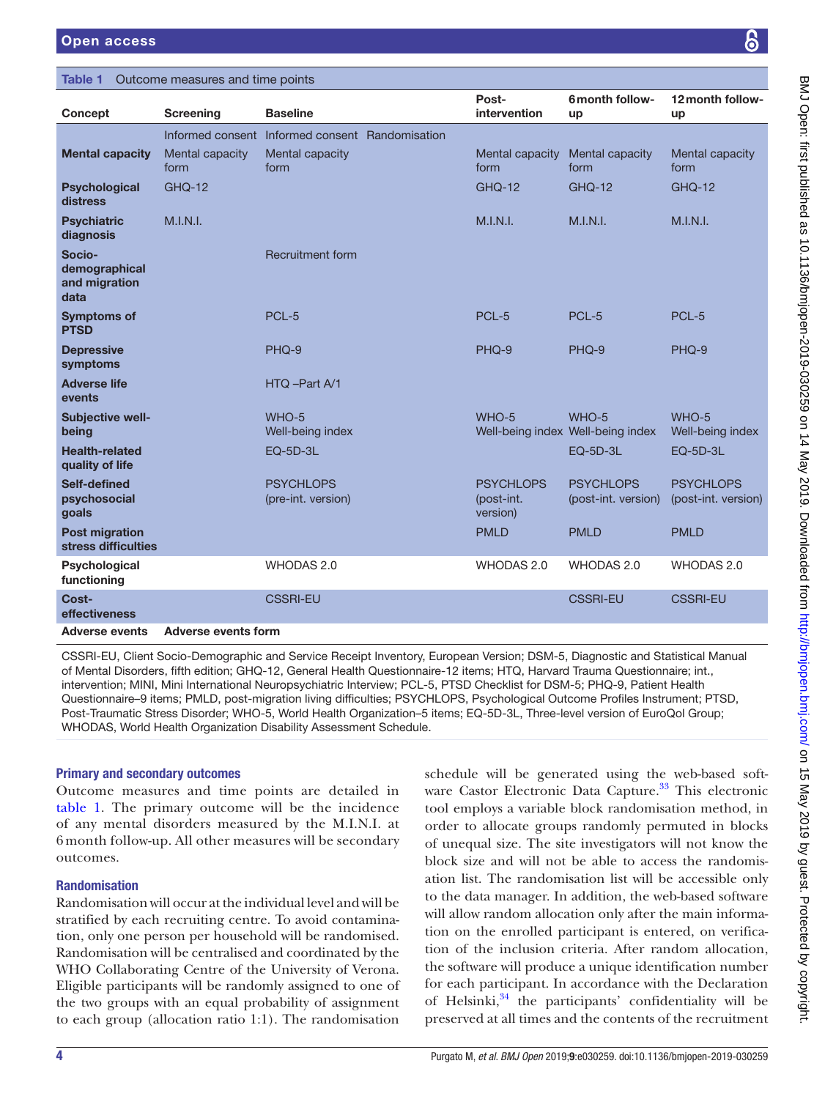# <span id="page-3-0"></span>Table 1 Outcome measures and time points

| Concept                                          | <b>Screening</b>           | <b>Baseline</b>                                 | Post-<br>intervention                      | 6 month follow-<br>up                      | 12 month follow-<br>up                  |
|--------------------------------------------------|----------------------------|-------------------------------------------------|--------------------------------------------|--------------------------------------------|-----------------------------------------|
|                                                  |                            | Informed consent Informed consent Randomisation |                                            |                                            |                                         |
| <b>Mental capacity</b>                           | Mental capacity<br>form    | Mental capacity<br>form                         | Mental capacity<br>form                    | Mental capacity<br>form                    | Mental capacity<br>form                 |
| <b>Psychological</b><br>distress                 | <b>GHQ-12</b>              |                                                 | <b>GHO-12</b>                              | <b>GHQ-12</b>                              | <b>GHQ-12</b>                           |
| <b>Psychiatric</b><br>diagnosis                  | M.I.N.I.                   |                                                 | M.I.N.I.                                   | M.I.N.I.                                   | M.I.N.I.                                |
| Socio-<br>demographical<br>and migration<br>data |                            | <b>Recruitment form</b>                         |                                            |                                            |                                         |
| <b>Symptoms of</b><br><b>PTSD</b>                |                            | PCL-5                                           | PCL-5                                      | PCL-5                                      | PCL-5                                   |
| <b>Depressive</b><br>symptoms                    |                            | PHQ-9                                           | PHQ-9                                      | PHQ-9                                      | PHQ-9                                   |
| <b>Adverse life</b><br>events                    |                            | HTQ-Part A/1                                    |                                            |                                            |                                         |
| Subjective well-<br>being                        |                            | WHO-5<br>Well-being index                       | WHO-5                                      | WHO-5<br>Well-being index Well-being index | WHO-5<br>Well-being index               |
| <b>Health-related</b><br>quality of life         |                            | <b>EQ-5D-3L</b>                                 |                                            | EQ-5D-3L                                   | <b>EQ-5D-3L</b>                         |
| Self-defined<br>psychosocial<br>goals            |                            | <b>PSYCHLOPS</b><br>(pre-int. version)          | <b>PSYCHLOPS</b><br>(post-int.<br>version) | <b>PSYCHLOPS</b><br>(post-int. version)    | <b>PSYCHLOPS</b><br>(post-int. version) |
| <b>Post migration</b><br>stress difficulties     |                            |                                                 | <b>PMLD</b>                                | <b>PMLD</b>                                | <b>PMLD</b>                             |
| Psychological<br>functioning                     |                            | WHODAS 2.0                                      | WHODAS 2.0                                 | WHODAS 2.0                                 | <b>WHODAS 2.0</b>                       |
| Cost-<br>effectiveness                           |                            | <b>CSSRI-EU</b>                                 |                                            | <b>CSSRI-EU</b>                            | <b>CSSRI-EU</b>                         |
| <b>Adverse events</b>                            | <b>Adverse events form</b> |                                                 |                                            |                                            |                                         |

CSSRI-EU, Client Socio-Demographic and Service Receipt Inventory, European Version; DSM-5, Diagnostic and Statistical Manual of Mental Disorders, fifth edition; GHQ-12, General Health Questionnaire-12 items; HTQ, Harvard Trauma Questionnaire; int., intervention; MINI, Mini International Neuropsychiatric Interview; PCL-5, PTSD Checklist for DSM-5; PHQ-9, Patient Health Questionnaire–9 items; PMLD, post-migration living difficulties; PSYCHLOPS, Psychological Outcome Profiles Instrument; PTSD, Post-Traumatic Stress Disorder; WHO-5, World Health Organization–5 items; EQ-5D-3L, Three-level version of EuroQol Group; WHODAS, World Health Organization Disability Assessment Schedule.

# Primary and secondary outcomes

Outcome measures and time points are detailed in [table](#page-3-0) 1. The primary outcome will be the incidence of any mental disorders measured by the M.I.N.I. at 6 month follow-up. All other measures will be secondary outcomes.

# Randomisation

Randomisation will occur at the individual level and will be stratified by each recruiting centre. To avoid contamination, only one person per household will be randomised. Randomisation will be centralised and coordinated by the WHO Collaborating Centre of the University of Verona. Eligible participants will be randomly assigned to one of the two groups with an equal probability of assignment to each group (allocation ratio 1:1). The randomisation

schedule will be generated using the web-based soft-ware Castor Electronic Data Capture.<sup>[33](#page-7-19)</sup> This electronic tool employs a variable block randomisation method, in order to allocate groups randomly permuted in blocks of unequal size. The site investigators will not know the block size and will not be able to access the randomisation list. The randomisation list will be accessible only to the data manager. In addition, the web-based software will allow random allocation only after the main information on the enrolled participant is entered, on verification of the inclusion criteria. After random allocation, the software will produce a unique identification number for each participant. In accordance with the Declaration of Helsinki, $34$  the participants' confidentiality will be preserved at all times and the contents of the recruitment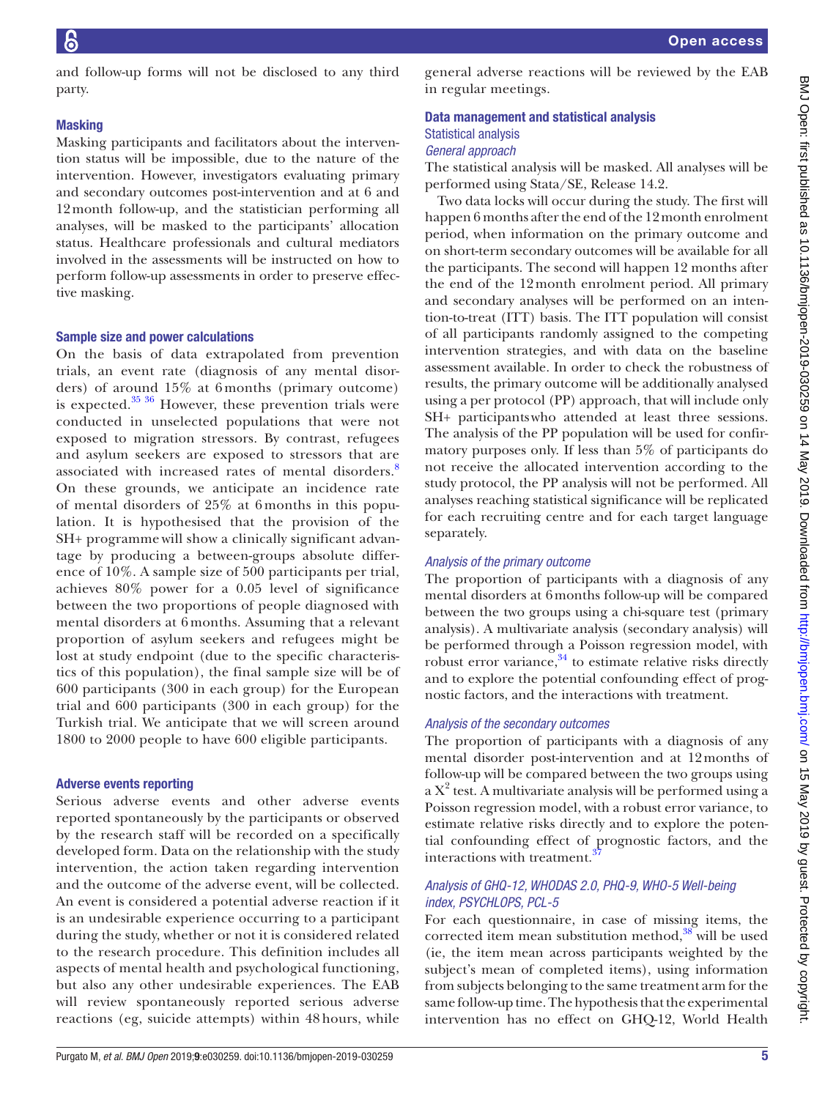and follow-up forms will not be disclosed to any third party.

## **Masking**

Masking participants and facilitators about the intervention status will be impossible, due to the nature of the intervention. However, investigators evaluating primary and secondary outcomes post-intervention and at 6 and 12month follow-up, and the statistician performing all analyses, will be masked to the participants' allocation status. Healthcare professionals and cultural mediators involved in the assessments will be instructed on how to perform follow-up assessments in order to preserve effective masking.

#### Sample size and power calculations

On the basis of data extrapolated from prevention trials, an event rate (diagnosis of any mental disorders) of around 15% at 6 months (primary outcome) is expected. $35\frac{36}{10}$  However, these prevention trials were conducted in unselected populations that were not exposed to migration stressors. By contrast, refugees and asylum seekers are exposed to stressors that are associated with increased rates of mental disorders.<sup>[8](#page-7-5)</sup> On these grounds, we anticipate an incidence rate of mental disorders of 25% at 6 months in this population. It is hypothesised that the provision of the SH+ programmewill show a clinically significant advantage by producing a between-groups absolute difference of 10%. A sample size of 500 participants per trial, achieves 80% power for a 0.05 level of significance between the two proportions of people diagnosed with mental disorders at 6 months. Assuming that a relevant proportion of asylum seekers and refugees might be lost at study endpoint (due to the specific characteristics of this population), the final sample size will be of 600 participants (300 in each group) for the European trial and 600 participants (300 in each group) for the Turkish trial. We anticipate that we will screen around 1800 to 2000 people to have 600 eligible participants.

#### Adverse events reporting

Serious adverse events and other adverse events reported spontaneously by the participants or observed by the research staff will be recorded on a specifically developed form. Data on the relationship with the study intervention, the action taken regarding intervention and the outcome of the adverse event, will be collected. An event is considered a potential adverse reaction if it is an undesirable experience occurring to a participant during the study, whether or not it is considered related to the research procedure. This definition includes all aspects of mental health and psychological functioning, but also any other undesirable experiences. The EAB will review spontaneously reported serious adverse reactions (eg, suicide attempts) within 48 hours, while

general adverse reactions will be reviewed by the EAB in regular meetings.

# Data management and statistical analysis Statistical analysis *General approach*

The statistical analysis will be masked. All analyses will be performed using Stata/SE, Release 14.2.

Two data locks will occur during the study. The first will happen 6 months after the end of the 12month enrolment period, when information on the primary outcome and on short-term secondary outcomes will be available for all the participants. The second will happen 12 months after the end of the 12month enrolment period. All primary and secondary analyses will be performed on an intention-to-treat (ITT) basis. The ITT population will consist of all participants randomly assigned to the competing intervention strategies, and with data on the baseline assessment available. In order to check the robustness of results, the primary outcome will be additionally analysed using a per protocol (PP) approach, that will include only SH+ participantswho attended at least three sessions. The analysis of the PP population will be used for confirmatory purposes only. If less than 5% of participants do not receive the allocated intervention according to the study protocol, the PP analysis will not be performed. All analyses reaching statistical significance will be replicated for each recruiting centre and for each target language separately.

#### *Analysis of the primary outcome*

The proportion of participants with a diagnosis of any mental disorders at 6months follow-up will be compared between the two groups using a chi-square test (primary analysis). A multivariate analysis (secondary analysis) will be performed through a Poisson regression model, with robust error variance, $34$  to estimate relative risks directly and to explore the potential confounding effect of prognostic factors, and the interactions with treatment.

#### *Analysis of the secondary outcomes*

The proportion of participants with a diagnosis of any mental disorder post-intervention and at 12months of follow-up will be compared between the two groups using a X<sup>2</sup> test. A multivariate analysis will be performed using a Poisson regression model, with a robust error variance, to estimate relative risks directly and to explore the potential confounding effect of prognostic factors, and the interactions with treatment.<sup>[37](#page-8-0)</sup>

# *Analysis of GHQ-12, WHODAS 2.0, PHQ-9, WHO-5 Well-being index, PSYCHLOPS, PCL-5*

For each questionnaire, in case of missing items, the corrected item mean substitution method, $38$  will be used (ie, the item mean across participants weighted by the subject's mean of completed items), using information from subjects belonging to the same treatment arm for the same follow-up time. The hypothesis that the experimental intervention has no effect on GHQ-12, World Health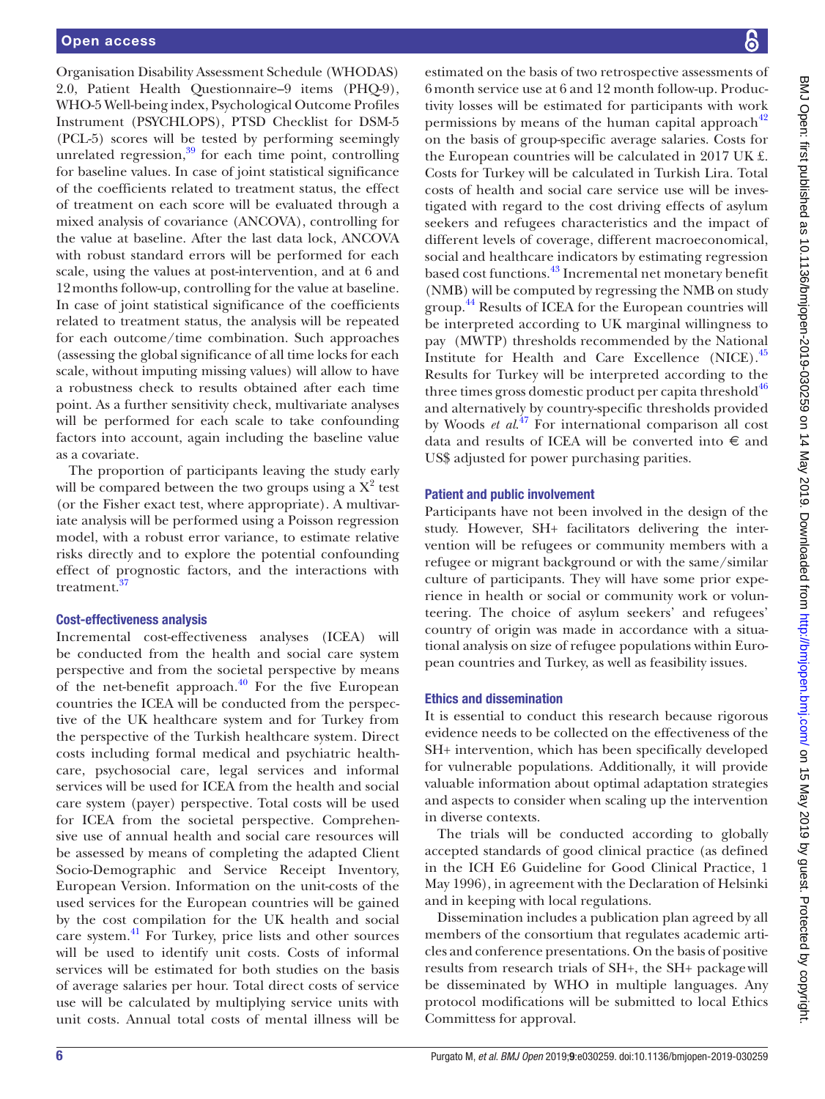Organisation Disability Assessment Schedule (WHODAS) 2.0, Patient Health Questionnaire–9 items (PHQ-9), WHO-5 Well-being index, Psychological Outcome Profiles Instrument (PSYCHLOPS), PTSD Checklist for DSM-5 (PCL-5) scores will be tested by performing seemingly unrelated regression, $39$  for each time point, controlling for baseline values. In case of joint statistical significance of the coefficients related to treatment status, the effect of treatment on each score will be evaluated through a mixed analysis of covariance (ANCOVA), controlling for the value at baseline. After the last data lock, ANCOVA with robust standard errors will be performed for each scale, using the values at post-intervention, and at 6 and 12months follow-up, controlling for the value at baseline. In case of joint statistical significance of the coefficients related to treatment status, the analysis will be repeated for each outcome/time combination. Such approaches (assessing the global significance of all time locks for each scale, without imputing missing values) will allow to have a robustness check to results obtained after each time point. As a further sensitivity check, multivariate analyses will be performed for each scale to take confounding factors into account, again including the baseline value as a covariate.

The proportion of participants leaving the study early will be compared between the two groups using a  $X^2$  test (or the Fisher exact test, where appropriate). A multivariate analysis will be performed using a Poisson regression model, with a robust error variance, to estimate relative risks directly and to explore the potential confounding effect of prognostic factors, and the interactions with treatment.<sup>3</sup>

# Cost-effectiveness analysis

Incremental cost-effectiveness analyses (ICEA) will be conducted from the health and social care system perspective and from the societal perspective by means of the net-benefit approach. $40$  For the five European countries the ICEA will be conducted from the perspective of the UK healthcare system and for Turkey from the perspective of the Turkish healthcare system. Direct costs including formal medical and psychiatric healthcare, psychosocial care, legal services and informal services will be used for ICEA from the health and social care system (payer) perspective. Total costs will be used for ICEA from the societal perspective. Comprehensive use of annual health and social care resources will be assessed by means of completing the adapted Client Socio-Demographic and Service Receipt Inventory, European Version. Information on the unit-costs of the used services for the European countries will be gained by the cost compilation for the UK health and social care system.[41](#page-8-4) For Turkey, price lists and other sources will be used to identify unit costs. Costs of informal services will be estimated for both studies on the basis of average salaries per hour. Total direct costs of service use will be calculated by multiplying service units with unit costs. Annual total costs of mental illness will be

estimated on the basis of two retrospective assessments of 6month service use at 6 and 12 month follow-up. Productivity losses will be estimated for participants with work permissions by means of the human capital approach $42$ on the basis of group-specific average salaries. Costs for the European countries will be calculated in 2017 UK £. Costs for Turkey will be calculated in Turkish Lira. Total costs of health and social care service use will be investigated with regard to the cost driving effects of asylum seekers and refugees characteristics and the impact of different levels of coverage, different macroeconomical, social and healthcare indicators by estimating regression based cost functions.[43](#page-8-6) Incremental net monetary benefit (NMB) will be computed by regressing the NMB on study group.<sup>[44](#page-8-7)</sup> Results of ICEA for the European countries will be interpreted according to UK marginal willingness to pay (MWTP) thresholds recommended by the National Institute for Health and Care Excellence (NICE).[45](#page-8-8) Results for Turkey will be interpreted according to the three times gross domestic product per capita threshold $46$ and alternatively by country-specific thresholds provided by Woods *et al.*<sup>47</sup> For international comparison all cost data and results of ICEA will be converted into  $\epsilon$  and US\$ adjusted for power purchasing parities.

# Patient and public involvement

Participants have not been involved in the design of the study. However, SH+ facilitators delivering the intervention will be refugees or community members with a refugee or migrant background or with the same/similar culture of participants. They will have some prior experience in health or social or community work or volunteering. The choice of asylum seekers' and refugees' country of origin was made in accordance with a situational analysis on size of refugee populations within European countries and Turkey, as well as feasibility issues.

# Ethics and dissemination

It is essential to conduct this research because rigorous evidence needs to be collected on the effectiveness of the SH+ intervention, which has been specifically developed for vulnerable populations. Additionally, it will provide valuable information about optimal adaptation strategies and aspects to consider when scaling up the intervention in diverse contexts.

The trials will be conducted according to globally accepted standards of good clinical practice (as defined in the ICH E6 Guideline for Good Clinical Practice, 1 May 1996), in agreement with the Declaration of Helsinki and in keeping with local regulations.

Dissemination includes a publication plan agreed by all members of the consortium that regulates academic articles and conference presentations. On the basis of positive results from research trials of SH+, the SH+ packagewill be disseminated by WHO in multiple languages. Any protocol modifications will be submitted to local Ethics Committess for approval.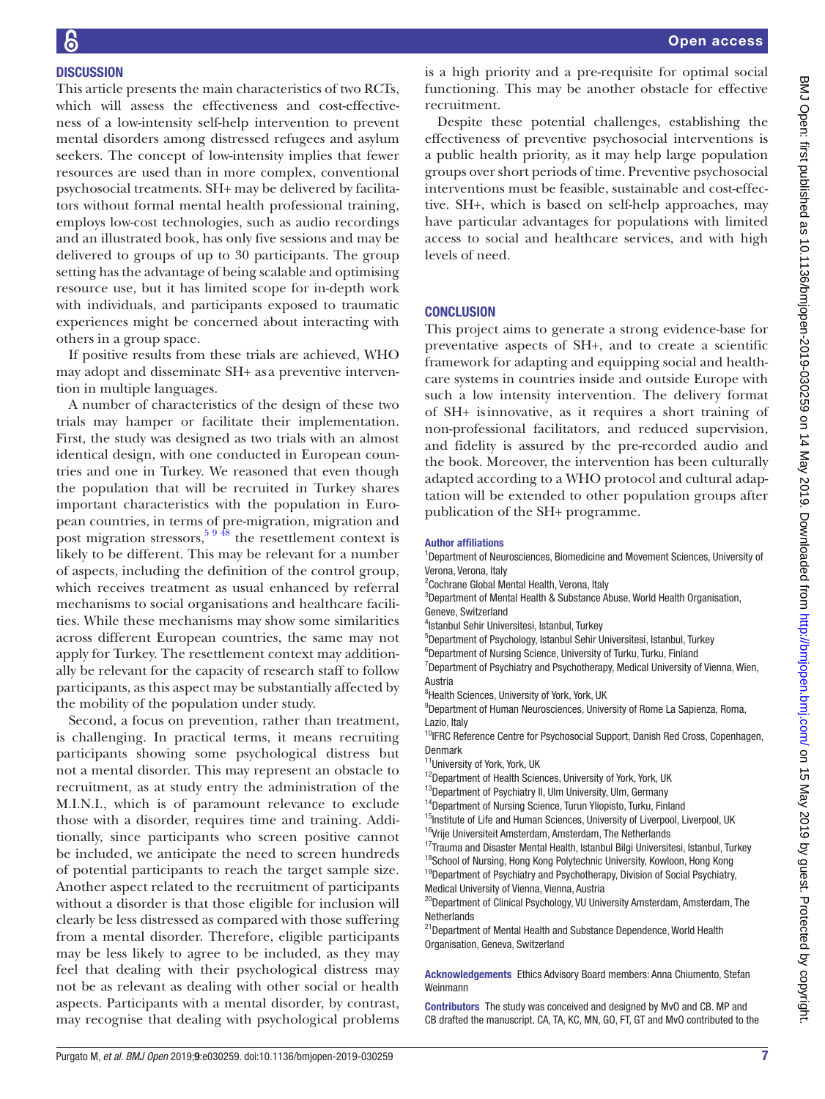# **DISCUSSION**

This article presents the main characteristics of two RCTs, which will assess the effectiveness and cost-effectiveness of a low-intensity self-help intervention to prevent mental disorders among distressed refugees and asylum seekers. The concept of low-intensity implies that fewer resources are used than in more complex, conventional psychosocial treatments. SH+ may be delivered by facilitators without formal mental health professional training, employs low-cost technologies, such as audio recordings and an illustrated book, has only five sessions and may be delivered to groups of up to 30 participants. The group setting has the advantage of being scalable and optimising resource use, but it has limited scope for in-depth work with individuals, and participants exposed to traumatic experiences might be concerned about interacting with others in a group space.

If positive results from these trials are achieved, WHO may adopt and disseminate SH+ as a preventive intervention in multiple languages.

A number of characteristics of the design of these two trials may hamper or facilitate their implementation. First, the study was designed as two trials with an almost identical design, with one conducted in European countries and one in Turkey. We reasoned that even though the population that will be recruited in Turkey shares important characteristics with the population in European countries, in terms of pre-migration, migration and post migration stressors,  $59\frac{48}{18}$  the resettlement context is likely to be different. This may be relevant for a number of aspects, including the definition of the control group, which receives treatment as usual enhanced by referral mechanisms to social organisations and healthcare facilities. While these mechanisms may show some similarities across different European countries, the same may not apply for Turkey. The resettlement context may additionally be relevant for the capacity of research staff to follow participants, as this aspect may be substantially affected by the mobility of the population under study.

Second, a focus on prevention, rather than treatment, is challenging. In practical terms, it means recruiting participants showing some psychological distress but not a mental disorder. This may represent an obstacle to recruitment, as at study entry the administration of the M.I.N.I., which is of paramount relevance to exclude those with a disorder, requires time and training. Additionally, since participants who screen positive cannot be included, we anticipate the need to screen hundreds of potential participants to reach the target sample size. Another aspect related to the recruitment of participants without a disorder is that those eligible for inclusion will clearly be less distressed as compared with those suffering from a mental disorder. Therefore, eligible participants may be less likely to agree to be included, as they may feel that dealing with their psychological distress may not be as relevant as dealing with other social or health aspects. Participants with a mental disorder, by contrast, may recognise that dealing with psychological problems

is a high priority and a pre-requisite for optimal social functioning. This may be another obstacle for effective recruitment.

Despite these potential challenges, establishing the effectiveness of preventive psychosocial interventions is a public health priority, as it may help large population groups over short periods of time. Preventive psychosocial interventions must be feasible, sustainable and cost-effective. SH+, which is based on self-help approaches, may have particular advantages for populations with limited access to social and healthcare services, and with high levels of need.

# **CONCLUSION**

This project aims to generate a strong evidence-base for preventative aspects of SH+, and to create a scientific framework for adapting and equipping social and healthcare systems in countries inside and outside Europe with such a low intensity intervention. The delivery format of SH+ isinnovative, as it requires a short training of non-professional facilitators, and reduced supervision, and fidelity is assured by the pre-recorded audio and the book. Moreover, the intervention has been culturally adapted according to a WHO protocol and cultural adaptation will be extended to other population groups after publication of the SH+ programme.

#### Author affiliations

<sup>1</sup>Department of Neurosciences, Biomedicine and Movement Sciences, University of Verona, Verona, Italy

<sup>2</sup> Cochrane Global Mental Health, Verona, Italy

<sup>3</sup>Department of Mental Health & Substance Abuse, World Health Organisation, Geneve, Switzerland

4 Istanbul Sehir Universitesi, Istanbul, Turkey

5 Department of Psychology, Istanbul Sehir Universitesi, Istanbul, Turkey

<sup>6</sup>Department of Nursing Science, University of Turku, Turku, Finland

<sup>7</sup>Department of Psychiatry and Psychotherapy, Medical University of Vienna, Wien, Austria

<sup>8</sup> Health Sciences, University of York, York, UK

<sup>9</sup>Department of Human Neurosciences, University of Rome La Sapienza, Roma, Lazio, Italy

<sup>10</sup>IFRC Reference Centre for Psychosocial Support, Danish Red Cross, Copenhagen, Denmark

<sup>11</sup>University of York, York, UK

<sup>12</sup>Department of Health Sciences, University of York, York, UK

<sup>13</sup>Department of Psychiatry II, Ulm University, Ulm, Germany

<sup>14</sup>Department of Nursing Science, Turun Yliopisto, Turku, Finland

<sup>15</sup>Institute of Life and Human Sciences, University of Liverpool, Liverpool, UK

<sup>16</sup>Vrije Universiteit Amsterdam, Amsterdam, The Netherlands <sup>17</sup>Trauma and Disaster Mental Health, Istanbul Bilgi Universitesi, Istanbul, Turkey

<sup>18</sup>School of Nursing, Hong Kong Polytechnic University, Kowloon, Hong Kong

<sup>19</sup>Department of Psychiatry and Psychotherapy, Division of Social Psychiatry, Medical University of Vienna, Vienna, Austria

<sup>20</sup>Department of Clinical Psychology, VU University Amsterdam, Amsterdam, The **Netherlands** 

<sup>21</sup> Department of Mental Health and Substance Dependence, World Health Organisation, Geneva, Switzerland

Acknowledgements Ethics Advisory Board members: Anna Chiumento, Stefan Weinmann

Contributors The study was conceived and designed by MvO and CB. MP and CB drafted the manuscript. CA, TA, KC, MN, GO, FT, GT and MvO contributed to the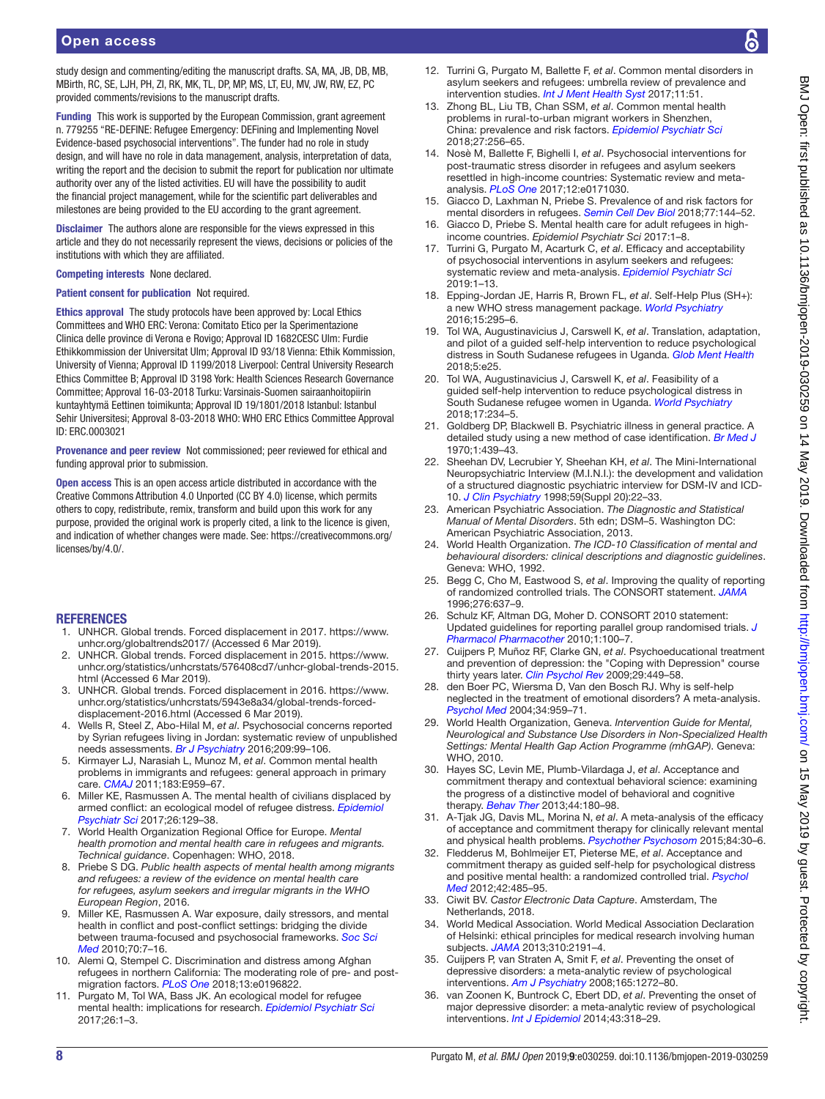study design and commenting/editing the manuscript drafts, SA, MA, JB, DB, MB, MBirth, RC, SE, LJH, PH, ZI, RK, MK, TL, DP, MP, MS, LT, EU, MV, JW, RW, EZ, PC provided comments/revisions to the manuscript drafts.

Funding This work is supported by the European Commission, grant agreement n. 779255 "RE-DEFINE: Refugee Emergency: DEFining and Implementing Novel Evidence-based psychosocial interventions". The funder had no role in study design, and will have no role in data management, analysis, interpretation of data, writing the report and the decision to submit the report for publication nor ultimate authority over any of the listed activities. EU will have the possibility to audit the financial project management, while for the scientific part deliverables and milestones are being provided to the EU according to the grant agreement.

Disclaimer The authors alone are responsible for the views expressed in this article and they do not necessarily represent the views, decisions or policies of the institutions with which they are affiliated.

#### Competing interests None declared.

Patient consent for publication Not required.

Ethics approval The study protocols have been approved by: Local Ethics Committees and WHO ERC: Verona: Comitato Etico per la Sperimentazione Clinica delle province di Verona e Rovigo; Approval ID 1682CESC Ulm: Furdie Ethikkommission der Universitat Ulm; Approval ID 93/18 Vienna: Ethik Kommission, University of Vienna; Approval ID 1199/2018 Liverpool: Central University Research Ethics Committee B; Approval ID 3198 York: Health Sciences Research Governance Committee; Approval 16-03-2018 Turku: Varsinais-Suomen sairaanhoitopiirin kuntayhtymä Eettinen toimikunta; Approval ID 19/1801/2018 Istanbul: Istanbul Sehir Universitesi; Approval 8-03-2018 WHO: WHO ERC Ethics Committee Approval ID: ERC.0003021

Provenance and peer review Not commissioned; peer reviewed for ethical and funding approval prior to submission.

Open access This is an open access article distributed in accordance with the Creative Commons Attribution 4.0 Unported (CC BY 4.0) license, which permits others to copy, redistribute, remix, transform and build upon this work for any purpose, provided the original work is properly cited, a link to the licence is given, and indication of whether changes were made. See: [https://creativecommons.org/](https://creativecommons.org/licenses/by/4.0/) [licenses/by/4.0/.](https://creativecommons.org/licenses/by/4.0/)

#### **REFERENCES**

- <span id="page-7-0"></span>1. UNHCR. Global trends. Forced displacement in 2017. [https://www.](https://www.unhcr.org/globaltrends2017/) [unhcr.org/globaltrends2017/](https://www.unhcr.org/globaltrends2017/) (Accessed 6 Mar 2019).
- 2. UNHCR. Global trends. Forced displacement in 2015. [https://www.](https://www.unhcr.org/statistics/unhcrstats/576408cd7/unhcr-global-trends-2015.html) [unhcr.org/statistics/unhcrstats/576408cd7/unhcr-global-trends-2015.](https://www.unhcr.org/statistics/unhcrstats/576408cd7/unhcr-global-trends-2015.html) [html](https://www.unhcr.org/statistics/unhcrstats/576408cd7/unhcr-global-trends-2015.html) (Accessed 6 Mar 2019).
- 3. UNHCR. Global trends. Forced displacement in 2016. [https://www.](https://www.unhcr.org/statistics/unhcrstats/5943e8a34/global-trends-forced-displacement-2016.html) [unhcr.org/statistics/unhcrstats/5943e8a34/global-trends-forced](https://www.unhcr.org/statistics/unhcrstats/5943e8a34/global-trends-forced-displacement-2016.html)[displacement-2016.html](https://www.unhcr.org/statistics/unhcrstats/5943e8a34/global-trends-forced-displacement-2016.html) (Accessed 6 Mar 2019).
- <span id="page-7-1"></span>4. Wells R, Steel Z, Abo-Hilal M, *et al*. Psychosocial concerns reported by Syrian refugees living in Jordan: systematic review of unpublished needs assessments. *[Br J Psychiatry](http://dx.doi.org/10.1192/bjp.bp.115.165084)* 2016;209:99–106.
- <span id="page-7-22"></span>5. Kirmayer LJ, Narasiah L, Munoz M, *et al*. Common mental health problems in immigrants and refugees: general approach in primary care. *[CMAJ](http://dx.doi.org/10.1503/cmaj.090292)* 2011;183:E959–67.
- <span id="page-7-2"></span>6. Miller KE, Rasmussen A. The mental health of civilians displaced by armed conflict: an ecological model of refugee distress. *[Epidemiol](http://dx.doi.org/10.1017/S2045796016000172)  [Psychiatr Sci](http://dx.doi.org/10.1017/S2045796016000172)* 2017;26:129–38.
- 7. World Health Organization Regional Office for Europe. *Mental health promotion and mental health care in refugees and migrants. Technical guidance*. Copenhagen: WHO, 2018.
- <span id="page-7-5"></span>8. Priebe S DG. *Public health aspects of mental health among migrants and refugees: a review of the evidence on mental health care for refugees, asylum seekers and irregular migrants in the WHO European Region*, 2016.
- 9. Miller KE, Rasmussen A. War exposure, daily stressors, and mental health in conflict and post-conflict settings: bridging the divide between trauma-focused and psychosocial frameworks. *[Soc Sci](http://dx.doi.org/10.1016/j.socscimed.2009.09.029)  [Med](http://dx.doi.org/10.1016/j.socscimed.2009.09.029)* 2010;70:7–16.
- <span id="page-7-3"></span>10. Alemi Q, Stempel C. Discrimination and distress among Afghan refugees in northern California: The moderating role of pre- and postmigration factors. *[PLoS One](http://dx.doi.org/10.1371/journal.pone.0196822)* 2018;13:e0196822.
- 11. Purgato M, Tol WA, Bass JK. An ecological model for refugee mental health: implications for research. *[Epidemiol Psychiatr Sci](http://dx.doi.org/10.1017/S204579601600069X)* 2017;26:1–3.
- <span id="page-7-4"></span>12. Turrini G, Purgato M, Ballette F, *et al*. Common mental disorders in asylum seekers and refugees: umbrella review of prevalence and intervention studies. *[Int J Ment Health Syst](http://dx.doi.org/10.1186/s13033-017-0156-0)* 2017;11:51.
- 13. Zhong BL, Liu TB, Chan SSM, *et al*. Common mental health problems in rural-to-urban migrant workers in Shenzhen, China: prevalence and risk factors. *[Epidemiol Psychiatr Sci](http://dx.doi.org/10.1017/S2045796016001141)* 2018;27:256–65.
- 14. Nosè M, Ballette F, Bighelli I, *et al*. Psychosocial interventions for post-traumatic stress disorder in refugees and asylum seekers resettled in high-income countries: Systematic review and metaanalysis. *[PLoS One](http://dx.doi.org/10.1371/journal.pone.0171030)* 2017;12:e0171030.
- 15. Giacco D, Laxhman N, Priebe S. Prevalence of and risk factors for mental disorders in refugees. *[Semin Cell Dev Biol](http://dx.doi.org/10.1016/j.semcdb.2017.11.030)* 2018;77:144–52.
- 16. Giacco D, Priebe S. Mental health care for adult refugees in highincome countries. *Epidemiol Psychiatr Sci* 2017:1–8.
- 17. Turrini G, Purgato M, Acarturk C, *et al*. Efficacy and acceptability of psychosocial interventions in asylum seekers and refugees: systematic review and meta-analysis. *[Epidemiol Psychiatr Sci](http://dx.doi.org/10.1017/S2045796019000027)* 2019:1–13.
- <span id="page-7-6"></span>18. Epping-Jordan JE, Harris R, Brown FL, *et al*. Self-Help Plus (SH+): a new WHO stress management package. *[World Psychiatry](http://dx.doi.org/10.1002/wps.20355)* 2016;15:295–6.
- <span id="page-7-7"></span>19. Tol WA, Augustinavicius J, Carswell K, *et al*. Translation, adaptation, and pilot of a guided self-help intervention to reduce psychological distress in South Sudanese refugees in Uganda. *[Glob Ment Health](http://dx.doi.org/10.1017/gmh.2018.14)* 2018;5:e25.
- 20. Tol WA, Augustinavicius J, Carswell K, *et al*. Feasibility of a guided self-help intervention to reduce psychological distress in South Sudanese refugee women in Uganda. *[World Psychiatry](http://dx.doi.org/10.1002/wps.20537)* 2018;17:234–5.
- <span id="page-7-8"></span>21. Goldberg DP, Blackwell B. Psychiatric illness in general practice. A detailed study using a new method of case identification. *[Br Med J](http://dx.doi.org/10.1136/bmj.2.5707.439)* 1970;1:439–43.
- <span id="page-7-9"></span>22. Sheehan DV, Lecrubier Y, Sheehan KH, *et al*. The Mini-International Neuropsychiatric Interview (M.I.N.I.): the development and validation of a structured diagnostic psychiatric interview for DSM-IV and ICD-10. *[J Clin Psychiatry](http://www.ncbi.nlm.nih.gov/pubmed/9881538)* 1998;59(Suppl 20):22–33.
- <span id="page-7-10"></span>23. American Psychiatric Association. *The Diagnostic and Statistical Manual of Mental Disorders*. 5th edn; DSM–5. Washington DC: American Psychiatric Association, 2013.
- <span id="page-7-11"></span>24. World Health Organization. *The ICD-10 Classification of mental and behavioural disorders: clinical descriptions and diagnostic guidelines*. Geneva: WHO, 1992.
- <span id="page-7-12"></span>25. Begg C, Cho M, Eastwood S, *et al*. Improving the quality of reporting of randomized controlled trials. The CONSORT statement. *[JAMA](http://www.ncbi.nlm.nih.gov/pubmed/8773637)* 1996;276:637–9.
- 26. Schulz KF, Altman DG, Moher D. CONSORT 2010 statement: Updated guidelines for reporting parallel group randomised trials. *[J](http://dx.doi.org/10.4103/0976-500X.72352)  [Pharmacol Pharmacother](http://dx.doi.org/10.4103/0976-500X.72352)* 2010;1:100–7.
- <span id="page-7-13"></span>27. Cuijpers P, Muñoz RF, Clarke GN, *et al*. Psychoeducational treatment and prevention of depression: the "Coping with Depression" course thirty years later. *[Clin Psychol Rev](http://dx.doi.org/10.1016/j.cpr.2009.04.005)* 2009;29:449–58.
- <span id="page-7-14"></span>28. den Boer PC, Wiersma D, Van den Bosch RJ. Why is self-help neglected in the treatment of emotional disorders? A meta-analysis. *[Psychol Med](http://dx.doi.org/10.1017/S003329170300179X)* 2004;34:959–71.
- <span id="page-7-15"></span>29. World Health Organization, Geneva. *Intervention Guide for Mental, Neurological and Substance Use Disorders in Non-Specialized Health Settings: Mental Health Gap Action Programme (mhGAP)*. Geneva: WHO, 2010.
- <span id="page-7-16"></span>30. Hayes SC, Levin ME, Plumb-Vilardaga J, *et al*. Acceptance and commitment therapy and contextual behavioral science: examining the progress of a distinctive model of behavioral and cognitive therapy. *[Behav Ther](http://dx.doi.org/10.1016/j.beth.2009.08.002)* 2013;44:180–98.
- <span id="page-7-17"></span>31. A-Tjak JG, Davis ML, Morina N, *et al*. A meta-analysis of the efficacy of acceptance and commitment therapy for clinically relevant mental and physical health problems. *[Psychother Psychosom](http://dx.doi.org/10.1159/000365764)* 2015;84:30–6.
- <span id="page-7-18"></span>32. Fledderus M, Bohlmeijer ET, Pieterse ME, *et al*. Acceptance and commitment therapy as guided self-help for psychological distress and positive mental health: a randomized controlled trial. *[Psychol](http://dx.doi.org/10.1017/S0033291711001206)  [Med](http://dx.doi.org/10.1017/S0033291711001206)* 2012;42:485–95.
- <span id="page-7-19"></span>33. Ciwit BV. *Castor Electronic Data Capture*. Amsterdam, The Netherlands, 2018.
- <span id="page-7-20"></span>34. World Medical Association. World Medical Association Declaration of Helsinki: ethical principles for medical research involving human subjects. *[JAMA](http://dx.doi.org/10.1001/jama.2013.281053)* 2013;310:2191–4.
- <span id="page-7-21"></span>35. Cuijpers P, van Straten A, Smit F, *et al*. Preventing the onset of depressive disorders: a meta-analytic review of psychological interventions. *[Am J Psychiatry](http://dx.doi.org/10.1176/appi.ajp.2008.07091422)* 2008;165:1272–80.
- 36. van Zoonen K, Buntrock C, Ebert DD, *et al*. Preventing the onset of major depressive disorder: a meta-analytic review of psychological interventions. *[Int J Epidemiol](http://dx.doi.org/10.1093/ije/dyt175)* 2014;43:318–29.